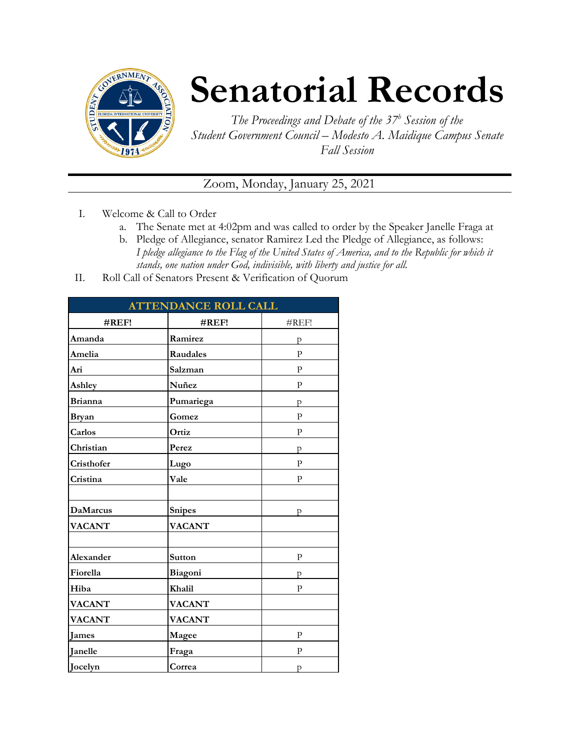

# **Senatorial Records**

*The Proceedings and Debate of the 37 <sup>h</sup> Session of the Student Government Council – Modesto A. Maidique Campus Senate Fall Session*

Zoom, Monday, January 25, 2021

- I. Welcome & Call to Order
	- a. The Senate met at 4:02pm and was called to order by the Speaker Janelle Fraga at
	- b. Pledge of Allegiance, senator Ramirez Led the Pledge of Allegiance, as follows: *I pledge allegiance to the Flag of the United States of America, and to the Republic for which it stands, one nation under God, indivisible, with liberty and justice for all.*
- II. Roll Call of Senators Present & Verification of Quorum

| <b>ATTENDANCE ROLL CALL</b> |               |              |  |  |
|-----------------------------|---------------|--------------|--|--|
| #REF!                       | #REF!         | #REF!        |  |  |
| Amanda                      | Ramirez       | p            |  |  |
| Amelia                      | Raudales      | $\mathbf{P}$ |  |  |
| Ari                         | Salzman       | $\mathbf{P}$ |  |  |
| Ashley                      | Nuñez         | ${\bf p}$    |  |  |
| <b>Brianna</b>              | Pumariega     | p            |  |  |
| <b>Bryan</b>                | Gomez         | $\mathbf{P}$ |  |  |
| Carlos                      | Ortiz         | P            |  |  |
| Christian                   | Perez         | p            |  |  |
| Cristhofer                  | Lugo          | $\mathbf{P}$ |  |  |
| Cristina                    | Vale          | $\mathbf{P}$ |  |  |
|                             |               |              |  |  |
| <b>DaMarcus</b>             | Snipes        | p            |  |  |
| <b>VACANT</b>               | <b>VACANT</b> |              |  |  |
|                             |               |              |  |  |
| Alexander                   | Sutton        | ${\bf p}$    |  |  |
| Fiorella                    | Biagoni       | p            |  |  |
| Hiba                        | Khalil        | $\mathbf{P}$ |  |  |
| <b>VACANT</b>               | <b>VACANT</b> |              |  |  |
| <b>VACANT</b>               | <b>VACANT</b> |              |  |  |
| James                       | Magee         | P            |  |  |
| Janelle                     | Fraga         | P            |  |  |
| Jocelyn                     | Correa        | p            |  |  |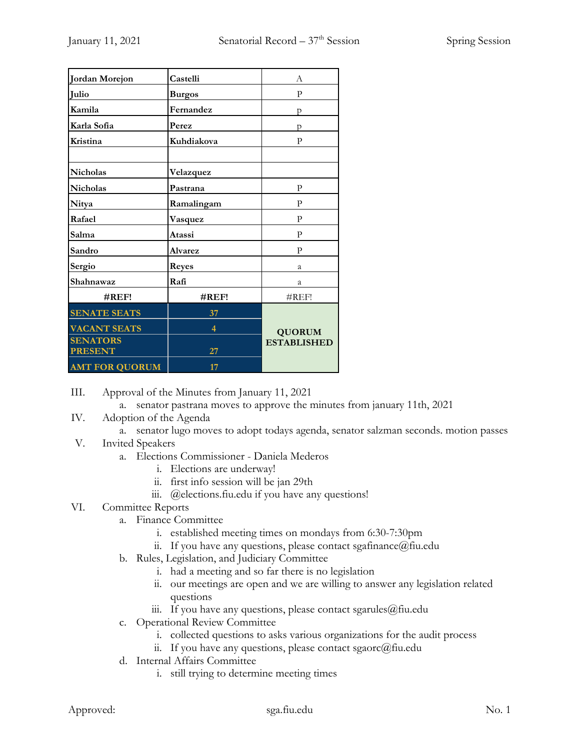| Jordan Morejon        | Castelli       | А                  |
|-----------------------|----------------|--------------------|
| Julio                 | <b>Burgos</b>  | P                  |
| Kamila                | Fernandez      | p                  |
| Karla Sofia           | Perez          | p                  |
| Kristina              | Kuhdiakova     | P                  |
|                       |                |                    |
| Nicholas              | Velazquez      |                    |
| <b>Nicholas</b>       | Pastrana       | P                  |
| Nitya                 | Ramalingam     | P                  |
| Rafael                | Vasquez        | P                  |
| Salma                 | Atassi         | P                  |
| Sandro                | <b>Alvarez</b> | $\mathbf{P}$       |
| Sergio                | Reyes          | a                  |
| Shahnawaz             | Rafi           | a.                 |
| $\#REF!$              | $\#REF!$       | #REF!              |
| <b>SENATE SEATS</b>   | 37             |                    |
| <b>VACANT SEATS</b>   | 4              | <b>QUORUM</b>      |
| <b>SENATORS</b>       |                | <b>ESTABLISHED</b> |
| <b>PRESENT</b>        | 27             |                    |
| <b>AMT FOR QUORUM</b> | 17             |                    |

III. Approval of the Minutes from January 11, 2021

a. senator pastrana moves to approve the minutes from january 11th, 2021

- IV. Adoption of the Agenda
	- a. senator lugo moves to adopt todays agenda, senator salzman seconds. motion passes
- V. Invited Speakers
	- a. Elections Commissioner Daniela Mederos
		- i. Elections are underway!
		- ii. first info session will be jan 29th
		- iii. @elections.fiu.edu if you have any questions!

#### VI. Committee Reports

- a. Finance Committee
	- i. established meeting times on mondays from 6:30-7:30pm
	- ii. If you have any questions, please contact sgafinance@fiu.edu
- b. Rules, Legislation, and Judiciary Committee
	- i. had a meeting and so far there is no legislation
	- ii. our meetings are open and we are willing to answer any legislation related questions
	- iii. If you have any questions, please contact sgarules  $@$  fiu.edu
- c. Operational Review Committee
	- i. collected questions to asks various organizations for the audit process
	- ii. If you have any questions, please contact sgaorc@fiu.edu
- d. Internal Affairs Committee
	- i. still trying to determine meeting times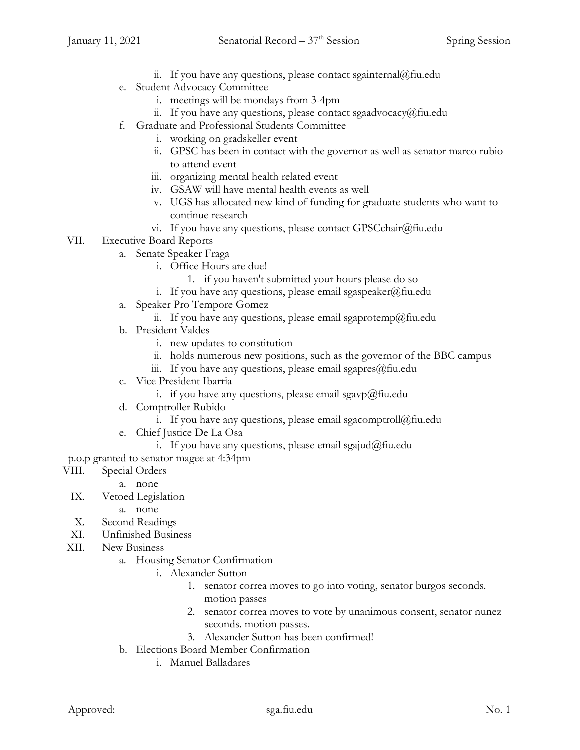- ii. If you have any questions, please contact sgainternal@fiu.edu
- e. Student Advocacy Committee
	- i. meetings will be mondays from 3-4pm
	- ii. If you have any questions, please contact sgaadvocacy@fiu.edu
- f. Graduate and Professional Students Committee
	- i. working on gradskeller event
	- ii. GPSC has been in contact with the governor as well as senator marco rubio to attend event
	- iii. organizing mental health related event
	- iv. GSAW will have mental health events as well
	- v. UGS has allocated new kind of funding for graduate students who want to continue research
	- vi. If you have any questions, please contact GPSCchair@fiu.edu

### VII. Executive Board Reports

- a. Senate Speaker Fraga
	- i. Office Hours are due!
		- 1. if you haven't submitted your hours please do so
	- i. If you have any questions, please email sgaspeaker@fiu.edu
- a. Speaker Pro Tempore Gomez
	- ii. If you have any questions, please email sgaprotemp@fiu.edu
- b. President Valdes
	- i. new updates to constitution
	- ii. holds numerous new positions, such as the governor of the BBC campus
	- iii. If you have any questions, please email sgapres $@$ fiu.edu
- c. Vice President Ibarria
	- i. if you have any questions, please email sgavp $@$ fiu.edu
- d. Comptroller Rubido
	- i. If you have any questions, please email sgacomptroll $@$ fiu.edu
- e. Chief Justice De La Osa
	- i. If you have any questions, please email sgajud@fiu.edu

p.o.p granted to senator magee at 4:34pm

- VIII. Special Orders
	- a. none
- IX. Vetoed Legislation
	- a. none
- X. Second Readings
- XI. Unfinished Business
- XII. New Business
	- a. Housing Senator Confirmation
		- i. Alexander Sutton
			- 1. senator correa moves to go into voting, senator burgos seconds. motion passes
			- 2. senator correa moves to vote by unanimous consent, senator nunez seconds. motion passes.
			- 3. Alexander Sutton has been confirmed!
	- b. Elections Board Member Confirmation
		- i. Manuel Balladares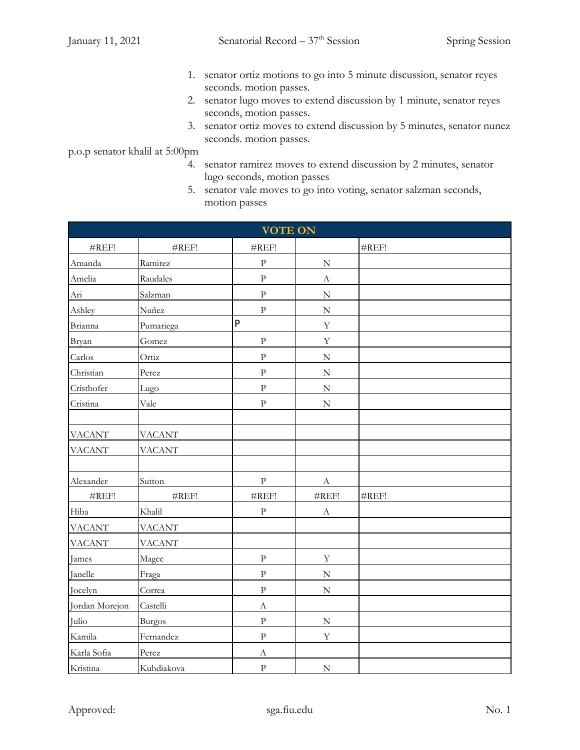- 1. senator ortiz motions to go into 5 minute discussion, senator reyes seconds. motion passes.
- 2. senator lugo moves to extend discussion by 1 minute, senator reyes seconds, motion passes.
- 3. senator ortiz moves to extend discussion by 5 minutes, senator nunez seconds. motion passes.

p.o.p senator khalil at 5:00pm

- 4. senator ramirez moves to extend discussion by 2 minutes, senator lugo seconds, motion passes
- 5. senator vale moves to go into voting, senator salzman seconds, motion passes

| <b>VOTE ON</b>    |               |                  |                   |                   |  |  |
|-------------------|---------------|------------------|-------------------|-------------------|--|--|
| $\#\mathrm{REF}!$ | #REF!         | #REF!            |                   | $\#\mathrm{REF}!$ |  |  |
| Amanda            | Ramirez       | ${\bf p}$        | ${\bf N}$         |                   |  |  |
| Amelia            | Raudales      | ${\bf p}$        | $\boldsymbol{A}$  |                   |  |  |
| Ari               | Salzman       | $\rm{P}$         | $\mathbf N$       |                   |  |  |
| Ashley            | Nuñez         | ${\bf p}$        | ${\bf N}$         |                   |  |  |
| Brianna           | Pumariega     | P                | $\mathbf Y$       |                   |  |  |
| Bryan             | Gomez         | ${\bf p}$        | $\mathbf Y$       |                   |  |  |
| Carlos            | Ortiz         | ${\bf p}$        | ${\bf N}$         |                   |  |  |
| Christian         | Perez         | ${\bf p}$        | ${\bf N}$         |                   |  |  |
| Cristhofer        | Lugo          | $\rm{P}$         | ${\bf N}$         |                   |  |  |
| Cristina          | Vale          | ${\bf p}$        | ${\bf N}$         |                   |  |  |
|                   |               |                  |                   |                   |  |  |
| <b>VACANT</b>     | <b>VACANT</b> |                  |                   |                   |  |  |
| <b>VACANT</b>     | <b>VACANT</b> |                  |                   |                   |  |  |
|                   |               |                  |                   |                   |  |  |
| Alexander         | Sutton        | ${\bf p}$        | $\boldsymbol{A}$  |                   |  |  |
| $\#\mathrm{REF}!$ | #REF!         | #REF!            | $\#\mathrm{REF}!$ | $\#\mathrm{REF}!$ |  |  |
| Hiba              | Khalil        | ${\bf p}$        | $\mathbf A$       |                   |  |  |
| <b>VACANT</b>     | <b>VACANT</b> |                  |                   |                   |  |  |
| <b>VACANT</b>     | <b>VACANT</b> |                  |                   |                   |  |  |
| James             | Magee         | $\rm{P}$         | $\mathbf Y$       |                   |  |  |
| Janelle           | Fraga         | ${\bf p}$        | $\mathbf N$       |                   |  |  |
| Jocelyn           | Correa        | $\rm{P}$         | ${\bf N}$         |                   |  |  |
| Jordan Morejon    | Castelli      | $\boldsymbol{A}$ |                   |                   |  |  |
| Julio             | <b>Burgos</b> | $\rm{P}$         | $\mathbf N$       |                   |  |  |
| Kamila            | Fernandez     | ${\bf p}$        | $\mathbf Y$       |                   |  |  |
| Karla Sofia       | Perez         | $\boldsymbol{A}$ |                   |                   |  |  |
| Kristina          | Kuhdiakova    | ${\bf p}$        | ${\bf N}$         |                   |  |  |

Approved: Sga.fiu.edu Sga.fiu.edu No. 1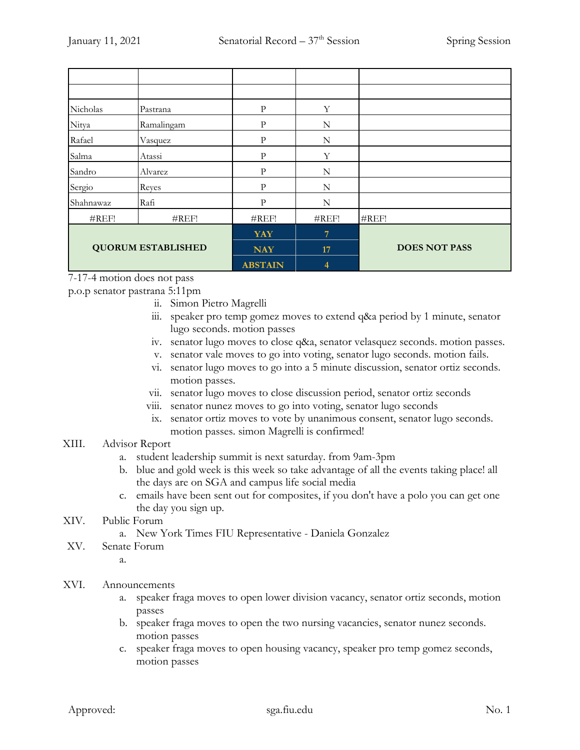| Nicholas                  | Pastrana   | P              | Y           |                      |
|---------------------------|------------|----------------|-------------|----------------------|
| Nitya                     | Ramalingam | P              | N           |                      |
| Rafael                    | Vasquez    | P              | $\mathbf N$ |                      |
| Salma                     | Atassi     | P              | Y           |                      |
| Sandro                    | Alvarez    | $\mathbf{P}$   | N           |                      |
| Sergio                    | Reyes      | P              | N           |                      |
| Shahnawaz                 | Rafi       | $\mathbf{P}$   | N           |                      |
| $\#REF!$                  | #REF!      | $\#REF!$       | #REF!       | #REF!                |
| <b>QUORUM ESTABLISHED</b> |            | <b>YAY</b>     | 7           |                      |
|                           |            | <b>NAY</b>     | 17          | <b>DOES NOT PASS</b> |
|                           |            | <b>ABSTAIN</b> | 4           |                      |

7-17-4 motion does not pass

p.o.p senator pastrana 5:11pm

- ii. Simon Pietro Magrelli
- iii. speaker pro temp gomez moves to extend q&a period by 1 minute, senator lugo seconds. motion passes
- iv. senator lugo moves to close q&a, senator velasquez seconds. motion passes.
- v. senator vale moves to go into voting, senator lugo seconds. motion fails.
- vi. senator lugo moves to go into a 5 minute discussion, senator ortiz seconds. motion passes.
- vii. senator lugo moves to close discussion period, senator ortiz seconds
- viii. senator nunez moves to go into voting, senator lugo seconds
- ix. senator ortiz moves to vote by unanimous consent, senator lugo seconds. motion passes. simon Magrelli is confirmed!

#### XIII. Advisor Report

- a. student leadership summit is next saturday. from 9am-3pm
- b. blue and gold week is this week so take advantage of all the events taking place! all the days are on SGA and campus life social media
- c. emails have been sent out for composites, if you don't have a polo you can get one the day you sign up.
- XIV. Public Forum
	- a. New York Times FIU Representative Daniela Gonzalez
- XV. Senate Forum

a.

#### XVI. Announcements

- a. speaker fraga moves to open lower division vacancy, senator ortiz seconds, motion passes
- b. speaker fraga moves to open the two nursing vacancies, senator nunez seconds. motion passes
- c. speaker fraga moves to open housing vacancy, speaker pro temp gomez seconds, motion passes